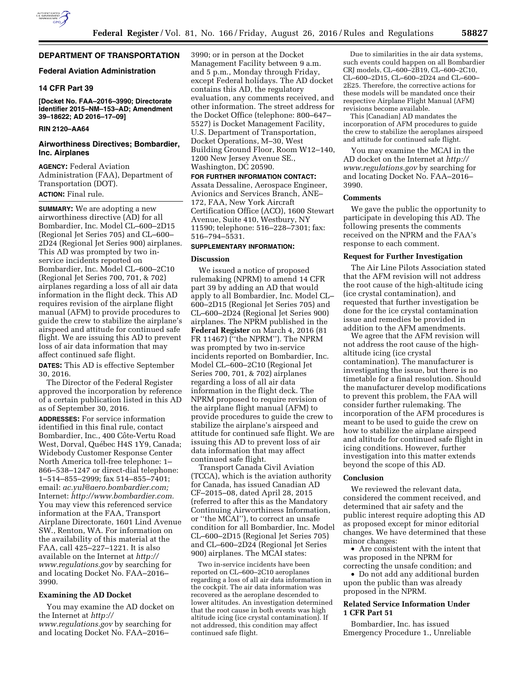# **DEPARTMENT OF TRANSPORTATION**

# **Federal Aviation Administration**

# **14 CFR Part 39**

**[Docket No. FAA–2016–3990; Directorate Identifier 2015–NM–153–AD; Amendment 39–18622; AD 2016–17–09]** 

# **RIN 2120–AA64**

# **Airworthiness Directives; Bombardier, Inc. Airplanes**

**AGENCY:** Federal Aviation Administration (FAA), Department of Transportation (DOT).

# **ACTION:** Final rule.

**SUMMARY:** We are adopting a new airworthiness directive (AD) for all Bombardier, Inc. Model CL–600–2D15 (Regional Jet Series 705) and CL–600– 2D24 (Regional Jet Series 900) airplanes. This AD was prompted by two inservice incidents reported on Bombardier, Inc. Model CL–600–2C10 (Regional Jet Series 700, 701, & 702) airplanes regarding a loss of all air data information in the flight deck. This AD requires revision of the airplane flight manual (AFM) to provide procedures to guide the crew to stabilize the airplane's airspeed and attitude for continued safe flight. We are issuing this AD to prevent loss of air data information that may affect continued safe flight.

**DATES:** This AD is effective September 30, 2016.

The Director of the Federal Register approved the incorporation by reference of a certain publication listed in this AD as of September 30, 2016.

**ADDRESSES:** For service information identified in this final rule, contact Bombardier, Inc., 400 Côte-Vertu Road West, Dorval, Québec H4S 1Y9, Canada; Widebody Customer Response Center North America toll-free telephone: 1– 866–538–1247 or direct-dial telephone: 1–514–855–2999; fax 514–855–7401; email: *[ac.yul@aero.bombardier.com;](mailto:ac.yul@aero.bombardier.com)*  Internet: *[http://www.bombardier.com.](http://www.bombardier.com)*  You may view this referenced service information at the FAA, Transport Airplane Directorate, 1601 Lind Avenue SW., Renton, WA. For information on the availability of this material at the FAA, call 425–227–1221. It is also available on the Internet at *[http://](http://www.regulations.gov) [www.regulations.gov](http://www.regulations.gov)* by searching for and locating Docket No. FAA–2016– 3990.

# **Examining the AD Docket**

You may examine the AD docket on the Internet at *[http://](http://www.regulations.gov) [www.regulations.gov](http://www.regulations.gov)* by searching for and locating Docket No. FAA–2016–

3990; or in person at the Docket Management Facility between 9 a.m. and 5 p.m., Monday through Friday, except Federal holidays. The AD docket contains this AD, the regulatory evaluation, any comments received, and other information. The street address for the Docket Office (telephone: 800–647– 5527) is Docket Management Facility, U.S. Department of Transportation, Docket Operations, M–30, West Building Ground Floor, Room W12–140, 1200 New Jersey Avenue SE., Washington, DC 20590.

**FOR FURTHER INFORMATION CONTACT:**  Assata Dessaline, Aerospace Engineer, Avionics and Services Branch, ANE– 172, FAA, New York Aircraft Certification Office (ACO), 1600 Stewart Avenue, Suite 410, Westbury, NY 11590; telephone: 516–228–7301; fax: 516–794–5531.

# **SUPPLEMENTARY INFORMATION:**

# **Discussion**

We issued a notice of proposed rulemaking (NPRM) to amend 14 CFR part 39 by adding an AD that would apply to all Bombardier, Inc. Model CL– 600–2D15 (Regional Jet Series 705) and CL–600–2D24 (Regional Jet Series 900) airplanes. The NPRM published in the **Federal Register** on March 4, 2016 (81 FR 11467) (''the NPRM''). The NPRM was prompted by two in-service incidents reported on Bombardier, Inc. Model CL–600–2C10 (Regional Jet Series 700, 701, & 702) airplanes regarding a loss of all air data information in the flight deck. The NPRM proposed to require revision of the airplane flight manual (AFM) to provide procedures to guide the crew to stabilize the airplane's airspeed and attitude for continued safe flight. We are issuing this AD to prevent loss of air data information that may affect continued safe flight.

Transport Canada Civil Aviation (TCCA), which is the aviation authority for Canada, has issued Canadian AD CF–2015–08, dated April 28, 2015 (referred to after this as the Mandatory Continuing Airworthiness Information, or ''the MCAI''), to correct an unsafe condition for all Bombardier, Inc. Model CL–600–2D15 (Regional Jet Series 705) and CL–600–2D24 (Regional Jet Series 900) airplanes. The MCAI states:

Two in-service incidents have been reported on CL–600–2C10 aeroplanes regarding a loss of all air data information in the cockpit. The air data information was recovered as the aeroplane descended to lower altitudes. An investigation determined that the root cause in both events was high altitude icing (ice crystal contamination). If not addressed, this condition may affect continued safe flight.

Due to similarities in the air data systems, such events could happen on all Bombardier CRJ models, CL–600–2B19, CL–600–2C10, CL–600–2D15, CL–600–2D24 and CL–600– 2E25. Therefore, the corrective actions for these models will be mandated once their respective Airplane Flight Manual (AFM) revisions become available.

This [Canadian] AD mandates the incorporation of AFM procedures to guide the crew to stabilize the aeroplanes airspeed and attitude for continued safe flight.

You may examine the MCAI in the AD docket on the Internet at *[http://](http://www.regulations.gov) [www.regulations.gov](http://www.regulations.gov)* by searching for and locating Docket No. FAA–2016– 3990.

### **Comments**

We gave the public the opportunity to participate in developing this AD. The following presents the comments received on the NPRM and the FAA's response to each comment.

# **Request for Further Investigation**

The Air Line Pilots Association stated that the AFM revision will not address the root cause of the high-altitude icing (ice crystal contamination), and requested that further investigation be done for the ice crystal contamination issue and remedies be provided in addition to the AFM amendments.

We agree that the AFM revision will not address the root cause of the highaltitude icing (ice crystal contamination). The manufacturer is investigating the issue, but there is no timetable for a final resolution. Should the manufacturer develop modifications to prevent this problem, the FAA will consider further rulemaking. The incorporation of the AFM procedures is meant to be used to guide the crew on how to stabilize the airplane airspeed and altitude for continued safe flight in icing conditions. However, further investigation into this matter extends beyond the scope of this AD.

#### **Conclusion**

We reviewed the relevant data, considered the comment received, and determined that air safety and the public interest require adopting this AD as proposed except for minor editorial changes. We have determined that these minor changes:

• Are consistent with the intent that was proposed in the NPRM for correcting the unsafe condition; and

• Do not add any additional burden upon the public than was already proposed in the NPRM.

# **Related Service Information Under 1 CFR Part 51**

Bombardier, Inc. has issued Emergency Procedure 1., Unreliable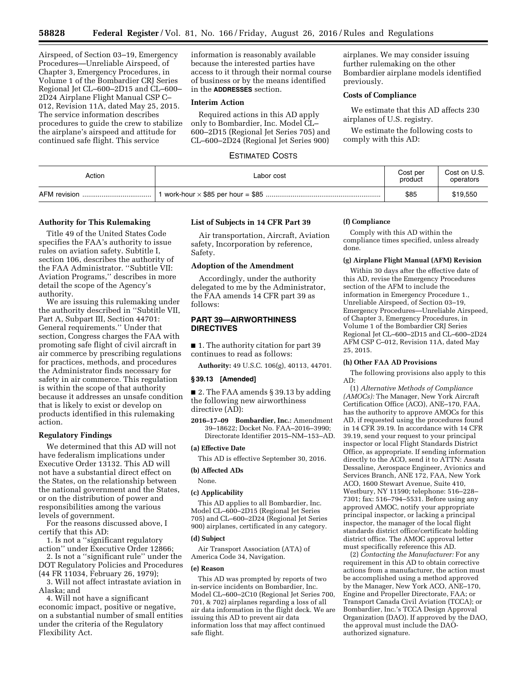Airspeed, of Section 03–19, Emergency Procedures—Unreliable Airspeed, of Chapter 3, Emergency Procedures, in Volume 1 of the Bombardier CRJ Series Regional Jet CL–600–2D15 and CL–600– 2D24 Airplane Flight Manual CSP C– 012, Revision 11A, dated May 25, 2015. The service information describes procedures to guide the crew to stabilize the airplane's airspeed and attitude for continued safe flight. This service

information is reasonably available because the interested parties have access to it through their normal course of business or by the means identified in the **ADDRESSES** section.

# **Interim Action**

Required actions in this AD apply only to Bombardier, Inc. Model CL– 600–2D15 (Regional Jet Series 705) and CL–600–2D24 (Regional Jet Series 900)

airplanes. We may consider issuing further rulemaking on the other Bombardier airplane models identified previously.

# **Costs of Compliance**

We estimate that this AD affects 230 airplanes of U.S. registry.

We estimate the following costs to comply with this AD:

# ESTIMATED COSTS

| Action       | Labor cost | Cost per<br>product | Cost on U.S.<br>operators |
|--------------|------------|---------------------|---------------------------|
| AFM revision |            | \$85                | \$19,550                  |

# **Authority for This Rulemaking**

Title 49 of the United States Code specifies the FAA's authority to issue rules on aviation safety. Subtitle I, section 106, describes the authority of the FAA Administrator. ''Subtitle VII: Aviation Programs,'' describes in more detail the scope of the Agency's authority.

We are issuing this rulemaking under the authority described in ''Subtitle VII, Part A, Subpart III, Section 44701: General requirements.'' Under that section, Congress charges the FAA with promoting safe flight of civil aircraft in air commerce by prescribing regulations for practices, methods, and procedures the Administrator finds necessary for safety in air commerce. This regulation is within the scope of that authority because it addresses an unsafe condition that is likely to exist or develop on products identified in this rulemaking action.

# **Regulatory Findings**

We determined that this AD will not have federalism implications under Executive Order 13132. This AD will not have a substantial direct effect on the States, on the relationship between the national government and the States, or on the distribution of power and responsibilities among the various levels of government.

For the reasons discussed above, I certify that this AD:

1. Is not a ''significant regulatory action'' under Executive Order 12866;

2. Is not a ''significant rule'' under the DOT Regulatory Policies and Procedures (44 FR 11034, February 26, 1979);

3. Will not affect intrastate aviation in Alaska; and

4. Will not have a significant economic impact, positive or negative, on a substantial number of small entities under the criteria of the Regulatory Flexibility Act.

### **List of Subjects in 14 CFR Part 39**

Air transportation, Aircraft, Aviation safety, Incorporation by reference, Safety.

# **Adoption of the Amendment**

Accordingly, under the authority delegated to me by the Administrator, the FAA amends 14 CFR part 39 as follows:

# **PART 39—AIRWORTHINESS DIRECTIVES**

■ 1. The authority citation for part 39 continues to read as follows:

**Authority:** 49 U.S.C. 106(g), 40113, 44701.

# **§ 39.13 [Amended]**

■ 2. The FAA amends § 39.13 by adding the following new airworthiness directive (AD):

**2016–17–09 Bombardier, Inc.:** Amendment 39–18622; Docket No. FAA–2016–3990; Directorate Identifier 2015–NM–153–AD.

#### **(a) Effective Date**

This AD is effective September 30, 2016.

# **(b) Affected ADs**

None.

#### **(c) Applicability**

This AD applies to all Bombardier, Inc. Model CL–600–2D15 (Regional Jet Series 705) and CL–600–2D24 (Regional Jet Series 900) airplanes, certificated in any category.

#### **(d) Subject**

Air Transport Association (ATA) of America Code 34, Navigation.

#### **(e) Reason**

This AD was prompted by reports of two in-service incidents on Bombardier, Inc. Model CL–600–2C10 (Regional Jet Series 700, 701, & 702) airplanes regarding a loss of all air data information in the flight deck. We are issuing this AD to prevent air data information loss that may affect continued safe flight.

### **(f) Compliance**

Comply with this AD within the compliance times specified, unless already done.

#### **(g) Airplane Flight Manual (AFM) Revision**

Within 30 days after the effective date of this AD, revise the Emergency Procedures section of the AFM to include the information in Emergency Procedure 1., Unreliable Airspeed, of Section 03–19, Emergency Procedures—Unreliable Airspeed, of Chapter 3, Emergency Procedures, in Volume 1 of the Bombardier CRJ Series Regional Jet CL–600–2D15 and CL–600–2D24 AFM CSP C–012, Revision 11A, dated May 25, 2015.

#### **(h) Other FAA AD Provisions**

The following provisions also apply to this AD:

(1) *Alternative Methods of Compliance (AMOCs):* The Manager, New York Aircraft Certification Office (ACO), ANE–170, FAA, has the authority to approve AMOCs for this AD, if requested using the procedures found in 14 CFR 39.19. In accordance with 14 CFR 39.19, send your request to your principal inspector or local Flight Standards District Office, as appropriate. If sending information directly to the ACO, send it to ATTN: Assata Dessaline, Aerospace Engineer, Avionics and Services Branch, ANE 172, FAA, New York ACO, 1600 Stewart Avenue, Suite 410, Westbury, NY 11590; telephone: 516–228– 7301; fax: 516–794–5531. Before using any approved AMOC, notify your appropriate principal inspector, or lacking a principal inspector, the manager of the local flight standards district office/certificate holding district office. The AMOC approval letter must specifically reference this AD.

(2) *Contacting the Manufacturer:* For any requirement in this AD to obtain corrective actions from a manufacturer, the action must be accomplished using a method approved by the Manager, New York ACO, ANE–170, Engine and Propeller Directorate, FAA; or Transport Canada Civil Aviation (TCCA); or Bombardier, Inc.'s TCCA Design Approval Organization (DAO). If approved by the DAO, the approval must include the DAOauthorized signature.